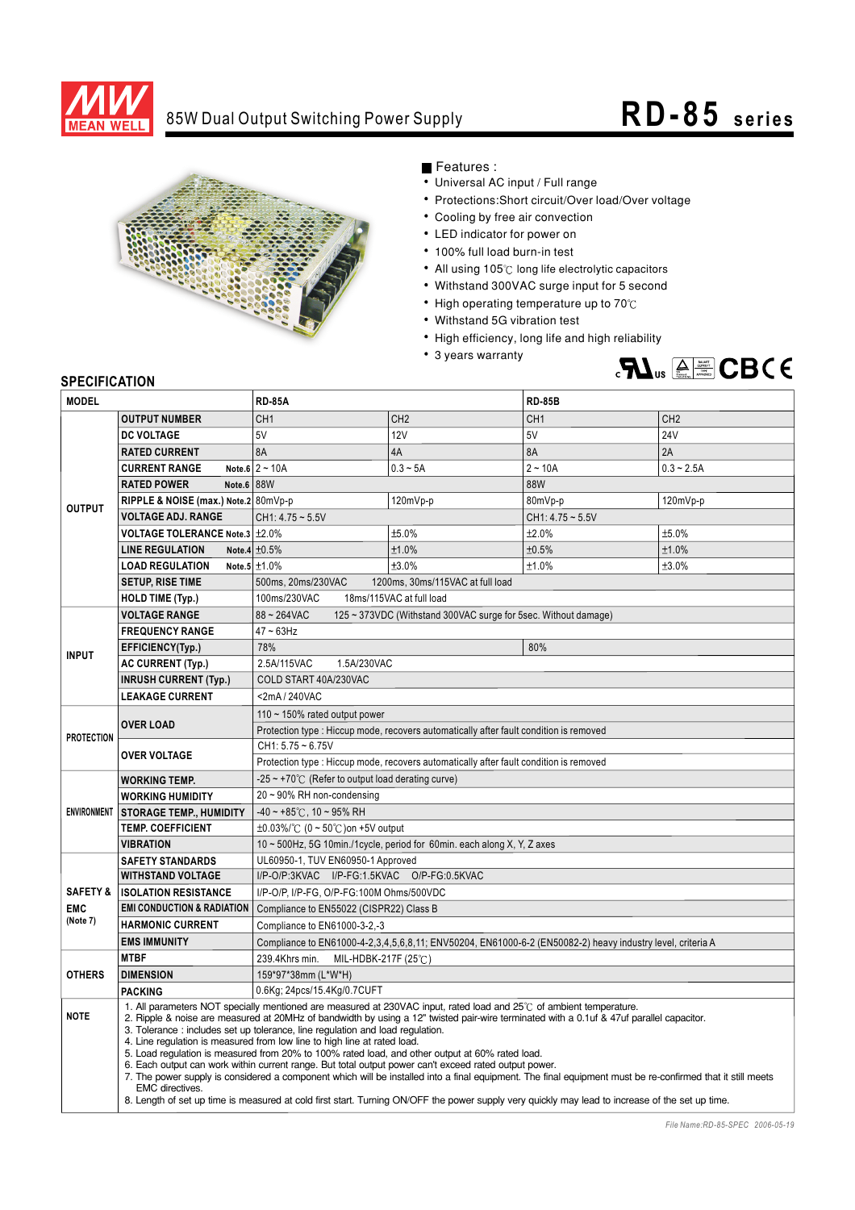

## 85W Dual Output Switching Power Supply **RD-85** series



Features :

- Universal AC input / Full range
- Protections: Short circuit/Over load/Over voltage
- Cooling by free air convection
- LED indicator for power on
- 100% full load burn-in test
- All using 105°C long life electrolytic capacitors
- Withstand 300VAC surge input for 5 second
- High operating temperature up to  $70^{\circ}$ C
- Withstand 5G vibration test
- High efficiency, long life and high reliability
- 3 years warranty



## **SPECIFICATION**

| <b>MODEL</b>           |                                                                                                                                                                                                                                                                 | <b>RD-85A</b>                                                                                                                                                               |                                  | <b>RD-85B</b>      |                 |  |
|------------------------|-----------------------------------------------------------------------------------------------------------------------------------------------------------------------------------------------------------------------------------------------------------------|-----------------------------------------------------------------------------------------------------------------------------------------------------------------------------|----------------------------------|--------------------|-----------------|--|
| <b>OUTPUT NUMBER</b>   |                                                                                                                                                                                                                                                                 | CH <sub>1</sub>                                                                                                                                                             | CH <sub>2</sub>                  | CH <sub>1</sub>    | CH <sub>2</sub> |  |
| <b>OUTPUT</b>          | <b>DC VOLTAGE</b>                                                                                                                                                                                                                                               | 5V                                                                                                                                                                          | <b>12V</b>                       | 5V                 | <b>24V</b>      |  |
|                        | <b>RATED CURRENT</b>                                                                                                                                                                                                                                            | 8A                                                                                                                                                                          | 4A                               | 8A                 | 2A              |  |
|                        | <b>CURRENT RANGE</b>                                                                                                                                                                                                                                            | Note.6 $2 \sim 10A$                                                                                                                                                         | $0.3 - 5A$                       | $2 - 10A$          | $0.3 - 2.5A$    |  |
|                        | <b>RATED POWER</b><br>Note.6 88W                                                                                                                                                                                                                                |                                                                                                                                                                             |                                  | 88W                |                 |  |
|                        | RIPPLE & NOISE (max.) Note.2 80mVp-p                                                                                                                                                                                                                            | 120mVp-p                                                                                                                                                                    |                                  | 80mVp-p            | 120mVp-p        |  |
|                        | <b>VOLTAGE ADJ. RANGE</b>                                                                                                                                                                                                                                       | $CH1: 4.75 - 5.5V$                                                                                                                                                          |                                  | $CH1: 4.75 - 5.5V$ |                 |  |
|                        | <b>VOLTAGE TOLERANCE Note.3</b> $\pm 2.0\%$                                                                                                                                                                                                                     |                                                                                                                                                                             | ±5.0%                            | ±2.0%              | ±5.0%           |  |
|                        | <b>LINE REGULATION</b>                                                                                                                                                                                                                                          | Note.4 $\pm 0.5\%$                                                                                                                                                          | ±1.0%                            | ±0.5%              | ±1.0%           |  |
|                        | <b>LOAD REGULATION</b>                                                                                                                                                                                                                                          | Note.5 $±1.0\%$                                                                                                                                                             | ±3.0%                            | ±1.0%              | ±3.0%           |  |
|                        | <b>SETUP, RISE TIME</b>                                                                                                                                                                                                                                         | 500ms, 20ms/230VAC                                                                                                                                                          | 1200ms. 30ms/115VAC at full load |                    |                 |  |
|                        | <b>HOLD TIME (Typ.)</b>                                                                                                                                                                                                                                         | 100ms/230VAC<br>18ms/115VAC at full load                                                                                                                                    |                                  |                    |                 |  |
|                        | <b>VOLTAGE RANGE</b><br>88~264VAC<br>125 ~ 373VDC (Withstand 300VAC surge for 5sec. Without damage)                                                                                                                                                             |                                                                                                                                                                             |                                  |                    |                 |  |
| <b>INPUT</b>           | <b>FREQUENCY RANGE</b>                                                                                                                                                                                                                                          | $47 - 63$ Hz                                                                                                                                                                |                                  |                    |                 |  |
|                        | EFFICIENCY(Typ.)                                                                                                                                                                                                                                                | 78%                                                                                                                                                                         |                                  | 80%                |                 |  |
|                        | <b>AC CURRENT (Typ.)</b>                                                                                                                                                                                                                                        | 2.5A/115VAC<br>1.5A/230VAC                                                                                                                                                  |                                  |                    |                 |  |
|                        | <b>INRUSH CURRENT (Typ.)</b>                                                                                                                                                                                                                                    | COLD START 40A/230VAC                                                                                                                                                       |                                  |                    |                 |  |
|                        | <b>LEAKAGE CURRENT</b>                                                                                                                                                                                                                                          | <2mA/240VAC                                                                                                                                                                 |                                  |                    |                 |  |
| <b>PROTECTION</b>      | <b>OVER LOAD</b>                                                                                                                                                                                                                                                | 110 $\sim$ 150% rated output power                                                                                                                                          |                                  |                    |                 |  |
|                        |                                                                                                                                                                                                                                                                 | Protection type : Hiccup mode, recovers automatically after fault condition is removed                                                                                      |                                  |                    |                 |  |
|                        |                                                                                                                                                                                                                                                                 | $CH1: 5.75 - 6.75V$                                                                                                                                                         |                                  |                    |                 |  |
|                        | <b>OVER VOLTAGE</b>                                                                                                                                                                                                                                             | Protection type : Hiccup mode, recovers automatically after fault condition is removed                                                                                      |                                  |                    |                 |  |
| <b>ENVIRONMENT</b>     | <b>WORKING TEMP.</b>                                                                                                                                                                                                                                            | $-25 \sim +70^{\circ}$ (Refer to output load derating curve)                                                                                                                |                                  |                    |                 |  |
|                        | <b>WORKING HUMIDITY</b>                                                                                                                                                                                                                                         | $20 \sim 90\%$ RH non-condensing                                                                                                                                            |                                  |                    |                 |  |
|                        | <b>STORAGE TEMP., HUMIDITY</b>                                                                                                                                                                                                                                  | $-40 \sim +85^{\circ}$ C, 10 ~ 95% RH                                                                                                                                       |                                  |                    |                 |  |
|                        | <b>TEMP. COEFFICIENT</b>                                                                                                                                                                                                                                        | $\pm 0.03\%$ /°C (0 ~ 50°C) on +5V output                                                                                                                                   |                                  |                    |                 |  |
|                        | <b>VIBRATION</b>                                                                                                                                                                                                                                                | 10 ~ 500Hz, 5G 10min./1cycle, period for 60min. each along X, Y, Z axes                                                                                                     |                                  |                    |                 |  |
|                        | <b>SAFETY STANDARDS</b>                                                                                                                                                                                                                                         | UL60950-1, TUV EN60950-1 Approved                                                                                                                                           |                                  |                    |                 |  |
|                        | <b>WITHSTAND VOLTAGE</b>                                                                                                                                                                                                                                        | I/P-O/P:3KVAC I/P-FG:1.5KVAC O/P-FG:0.5KVAC                                                                                                                                 |                                  |                    |                 |  |
| <b>SAFETY &amp;</b>    | <b>ISOLATION RESISTANCE</b><br>I/P-O/P, I/P-FG, O/P-FG:100M Ohms/500VDC                                                                                                                                                                                         |                                                                                                                                                                             |                                  |                    |                 |  |
| <b>EMC</b><br>(Note 7) | <b>EMI CONDUCTION &amp; RADIATION</b>                                                                                                                                                                                                                           | Compliance to EN55022 (CISPR22) Class B                                                                                                                                     |                                  |                    |                 |  |
|                        | <b>HARMONIC CURRENT</b>                                                                                                                                                                                                                                         | Compliance to EN61000-3-2,-3                                                                                                                                                |                                  |                    |                 |  |
|                        | <b>EMS IMMUNITY</b>                                                                                                                                                                                                                                             | Compliance to EN61000-4-2,3,4,5,6,8,11; ENV50204, EN61000-6-2 (EN50082-2) heavy industry level, criteria A                                                                  |                                  |                    |                 |  |
| <b>OTHERS</b>          | <b>MTBF</b>                                                                                                                                                                                                                                                     | 239.4Khrs min.<br>MIL-HDBK-217F (25℃)                                                                                                                                       |                                  |                    |                 |  |
|                        | <b>DIMENSION</b>                                                                                                                                                                                                                                                | 159*97*38mm (L*W*H)                                                                                                                                                         |                                  |                    |                 |  |
|                        | <b>PACKING</b>                                                                                                                                                                                                                                                  | 0.6Kg; 24pcs/15.4Kg/0.7CUFT                                                                                                                                                 |                                  |                    |                 |  |
| <b>NOTE</b>            | 1. All parameters NOT specially mentioned are measured at 230VAC input, rated load and 25°C of ambient temperature.<br>2. Ripple & noise are measured at 20MHz of bandwidth by using a 12" twisted pair-wire terminated with a 0.1uf & 47uf parallel capacitor. |                                                                                                                                                                             |                                  |                    |                 |  |
|                        |                                                                                                                                                                                                                                                                 | 3. Tolerance : includes set up tolerance, line regulation and load regulation.                                                                                              |                                  |                    |                 |  |
|                        |                                                                                                                                                                                                                                                                 | 4. Line regulation is measured from low line to high line at rated load.<br>5. Load requlation is measured from 20% to 100% rated load, and other output at 60% rated load. |                                  |                    |                 |  |
|                        |                                                                                                                                                                                                                                                                 | 6. Each output can work within current range. But total output power can't exceed rated output power.                                                                       |                                  |                    |                 |  |
|                        | <b>EMC</b> directives.                                                                                                                                                                                                                                          | 7. The power supply is considered a component which will be installed into a final equipment. The final equipment must be re-confirmed that it still meets                  |                                  |                    |                 |  |
|                        |                                                                                                                                                                                                                                                                 | 8. Length of set up time is measured at cold first start. Turning ON/OFF the power supply very quickly may lead to increase of the set up time.                             |                                  |                    |                 |  |